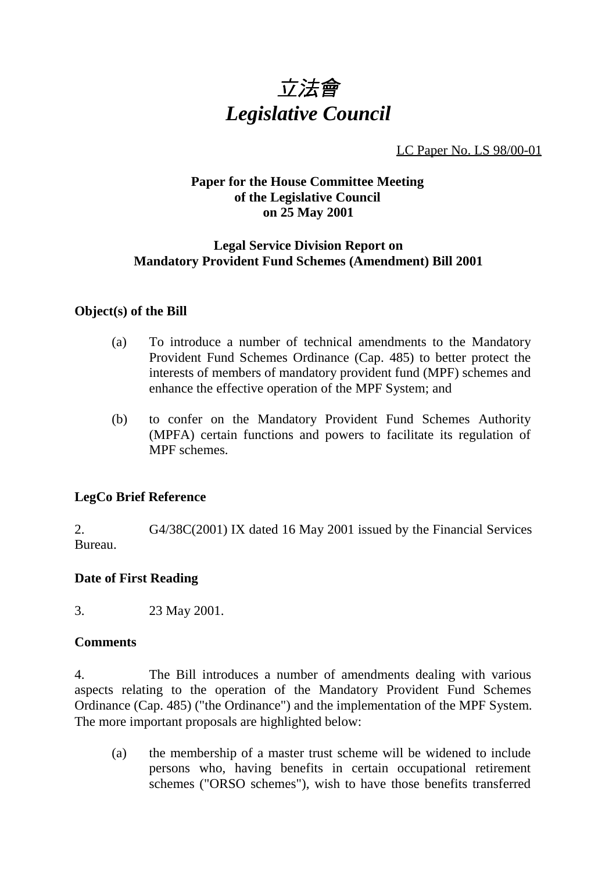

LC Paper No. LS 98/00-01

# **Paper for the House Committee Meeting of the Legislative Council on 25 May 2001**

#### **Legal Service Division Report on Mandatory Provident Fund Schemes (Amendment) Bill 2001**

## **Object(s) of the Bill**

- (a) To introduce a number of technical amendments to the Mandatory Provident Fund Schemes Ordinance (Cap. 485) to better protect the interests of members of mandatory provident fund (MPF) schemes and enhance the effective operation of the MPF System; and
- (b) to confer on the Mandatory Provident Fund Schemes Authority (MPFA) certain functions and powers to facilitate its regulation of MPF schemes.

## **LegCo Brief Reference**

2. G4/38C(2001) IX dated 16 May 2001 issued by the Financial Services Bureau.

## **Date of First Reading**

3. 23 May 2001.

## **Comments**

4. The Bill introduces a number of amendments dealing with various aspects relating to the operation of the Mandatory Provident Fund Schemes Ordinance (Cap. 485) ("the Ordinance") and the implementation of the MPF System. The more important proposals are highlighted below:

(a) the membership of a master trust scheme will be widened to include persons who, having benefits in certain occupational retirement schemes ("ORSO schemes"), wish to have those benefits transferred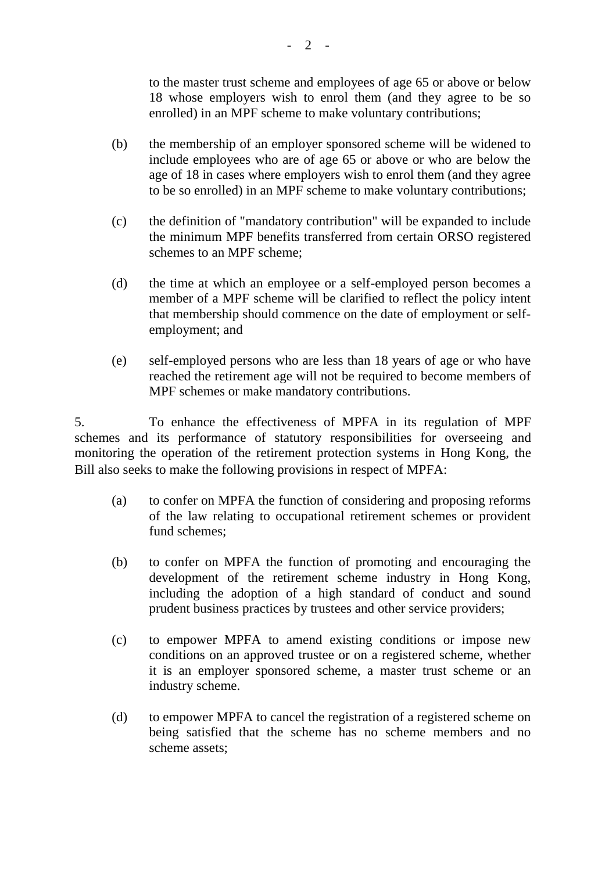to the master trust scheme and employees of age 65 or above or below 18 whose employers wish to enrol them (and they agree to be so enrolled) in an MPF scheme to make voluntary contributions;

- (b) the membership of an employer sponsored scheme will be widened to include employees who are of age 65 or above or who are below the age of 18 in cases where employers wish to enrol them (and they agree to be so enrolled) in an MPF scheme to make voluntary contributions;
- (c) the definition of "mandatory contribution" will be expanded to include the minimum MPF benefits transferred from certain ORSO registered schemes to an MPF scheme;
- (d) the time at which an employee or a self-employed person becomes a member of a MPF scheme will be clarified to reflect the policy intent that membership should commence on the date of employment or selfemployment; and
- (e) self-employed persons who are less than 18 years of age or who have reached the retirement age will not be required to become members of MPF schemes or make mandatory contributions.

5. To enhance the effectiveness of MPFA in its regulation of MPF schemes and its performance of statutory responsibilities for overseeing and monitoring the operation of the retirement protection systems in Hong Kong, the Bill also seeks to make the following provisions in respect of MPFA:

- (a) to confer on MPFA the function of considering and proposing reforms of the law relating to occupational retirement schemes or provident fund schemes;
- (b) to confer on MPFA the function of promoting and encouraging the development of the retirement scheme industry in Hong Kong, including the adoption of a high standard of conduct and sound prudent business practices by trustees and other service providers;
- (c) to empower MPFA to amend existing conditions or impose new conditions on an approved trustee or on a registered scheme, whether it is an employer sponsored scheme, a master trust scheme or an industry scheme.
- (d) to empower MPFA to cancel the registration of a registered scheme on being satisfied that the scheme has no scheme members and no scheme assets;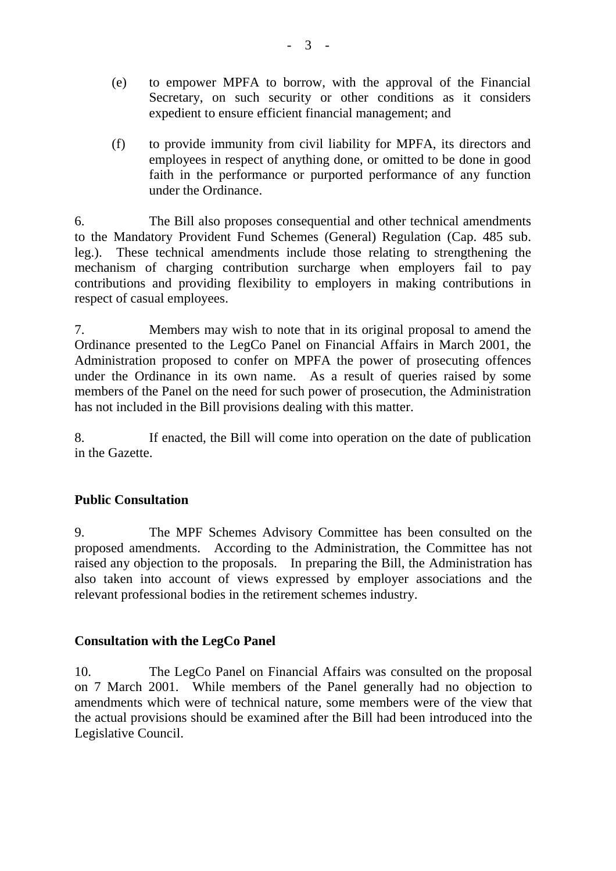- (e) to empower MPFA to borrow, with the approval of the Financial Secretary, on such security or other conditions as it considers expedient to ensure efficient financial management; and
- (f) to provide immunity from civil liability for MPFA, its directors and employees in respect of anything done, or omitted to be done in good faith in the performance or purported performance of any function under the Ordinance.

6. The Bill also proposes consequential and other technical amendments to the Mandatory Provident Fund Schemes (General) Regulation (Cap. 485 sub. leg.). These technical amendments include those relating to strengthening the mechanism of charging contribution surcharge when employers fail to pay contributions and providing flexibility to employers in making contributions in respect of casual employees.

7. Members may wish to note that in its original proposal to amend the Ordinance presented to the LegCo Panel on Financial Affairs in March 2001, the Administration proposed to confer on MPFA the power of prosecuting offences under the Ordinance in its own name. As a result of queries raised by some members of the Panel on the need for such power of prosecution, the Administration has not included in the Bill provisions dealing with this matter.

8. If enacted, the Bill will come into operation on the date of publication in the Gazette.

# **Public Consultation**

9. The MPF Schemes Advisory Committee has been consulted on the proposed amendments. According to the Administration, the Committee has not raised any objection to the proposals. In preparing the Bill, the Administration has also taken into account of views expressed by employer associations and the relevant professional bodies in the retirement schemes industry.

## **Consultation with the LegCo Panel**

10. The LegCo Panel on Financial Affairs was consulted on the proposal on 7 March 2001. While members of the Panel generally had no objection to amendments which were of technical nature, some members were of the view that the actual provisions should be examined after the Bill had been introduced into the Legislative Council.